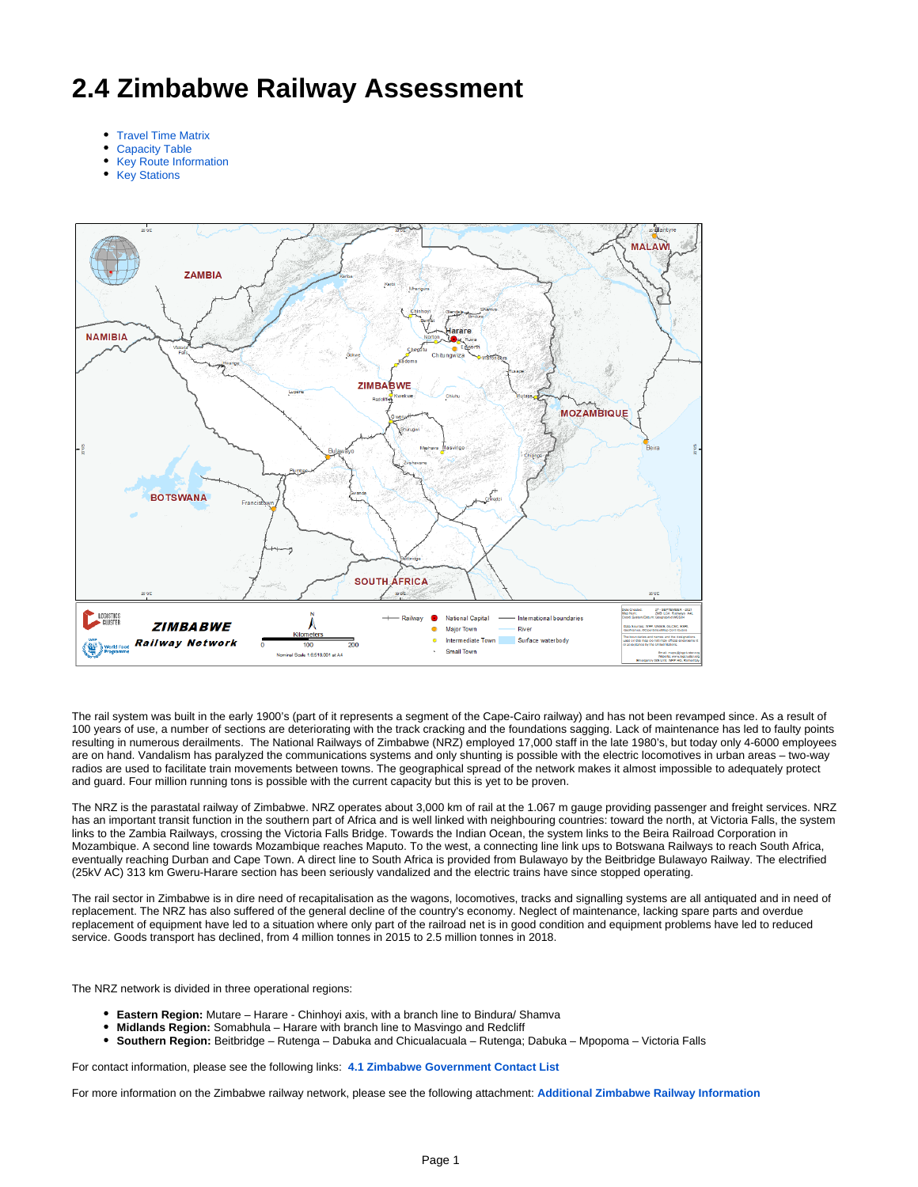# **2.4 Zimbabwe Railway Assessment**

- [Travel Time Matrix](#page-0-0)
- [Capacity Table](#page-1-0)
- [Key Route Information](#page-1-1)
- [Key Stations](#page-1-2)



The rail system was built in the early 1900's (part of it represents a segment of the Cape-Cairo railway) and has not been revamped since. As a result of 100 years of use, a number of sections are deteriorating with the track cracking and the foundations sagging. Lack of maintenance has led to faulty points resulting in numerous derailments. The National Railways of Zimbabwe (NRZ) employed 17,000 staff in the late 1980's, but today only 4-6000 employees are on hand. Vandalism has paralyzed the communications systems and only shunting is possible with the electric locomotives in urban areas – two-way radios are used to facilitate train movements between towns. The geographical spread of the network makes it almost impossible to adequately protect and guard. Four million running tons is possible with the current capacity but this is yet to be proven.

The NRZ is the parastatal railway of Zimbabwe. NRZ operates about 3,000 km of rail at the 1.067 m gauge providing passenger and freight services. NRZ has an important transit function in the southern part of Africa and is well linked with neighbouring countries: toward the north, at Victoria Falls, the system links to the Zambia Railways, crossing the Victoria Falls Bridge. Towards the Indian Ocean, the system links to the Beira Railroad Corporation in Mozambique. A second line towards Mozambique reaches Maputo. To the west, a connecting line link ups to Botswana Railways to reach South Africa, eventually reaching Durban and Cape Town. A direct line to South Africa is provided from Bulawayo by the Beitbridge Bulawayo Railway. The electrified (25kV AC) 313 km Gweru-Harare section has been seriously vandalized and the electric trains have since stopped operating.

The rail sector in Zimbabwe is in dire need of recapitalisation as the wagons, locomotives, tracks and signalling systems are all antiquated and in need of replacement. The NRZ has also suffered of the general decline of the country's economy. Neglect of maintenance, lacking spare parts and overdue replacement of equipment have led to a situation where only part of the railroad net is in good condition and equipment problems have led to reduced service. Goods transport has declined, from 4 million tonnes in 2015 to 2.5 million tonnes in 2018.

The NRZ network is divided in three operational regions:

- **Eastern Region:** Mutare Harare Chinhoyi axis, with a branch line to Bindura/ Shamva
- **Midlands Region:** Somabhula Harare with branch line to Masvingo and Redcliff
- **Southern Region:** Beitbridge Rutenga Dabuka and Chicualacuala Rutenga; Dabuka Mpopoma Victoria Falls

For contact information, please see the following links: **[4.1 Zimbabwe Government Contact List](http://dlca.logcluster.org/display/DLCA/4.1+Zimbabwe+Government+Contact+List)**

<span id="page-0-0"></span>For more information on the Zimbabwe railway network, please see the following attachment: **[Additional Zimbabwe Railway Information](https://dlca.logcluster.org/download/attachments/10130635/Additional%20Zimbabwe%20Railway%20Information.pdf?version=1&modificationDate=1464320058000&api=v2)**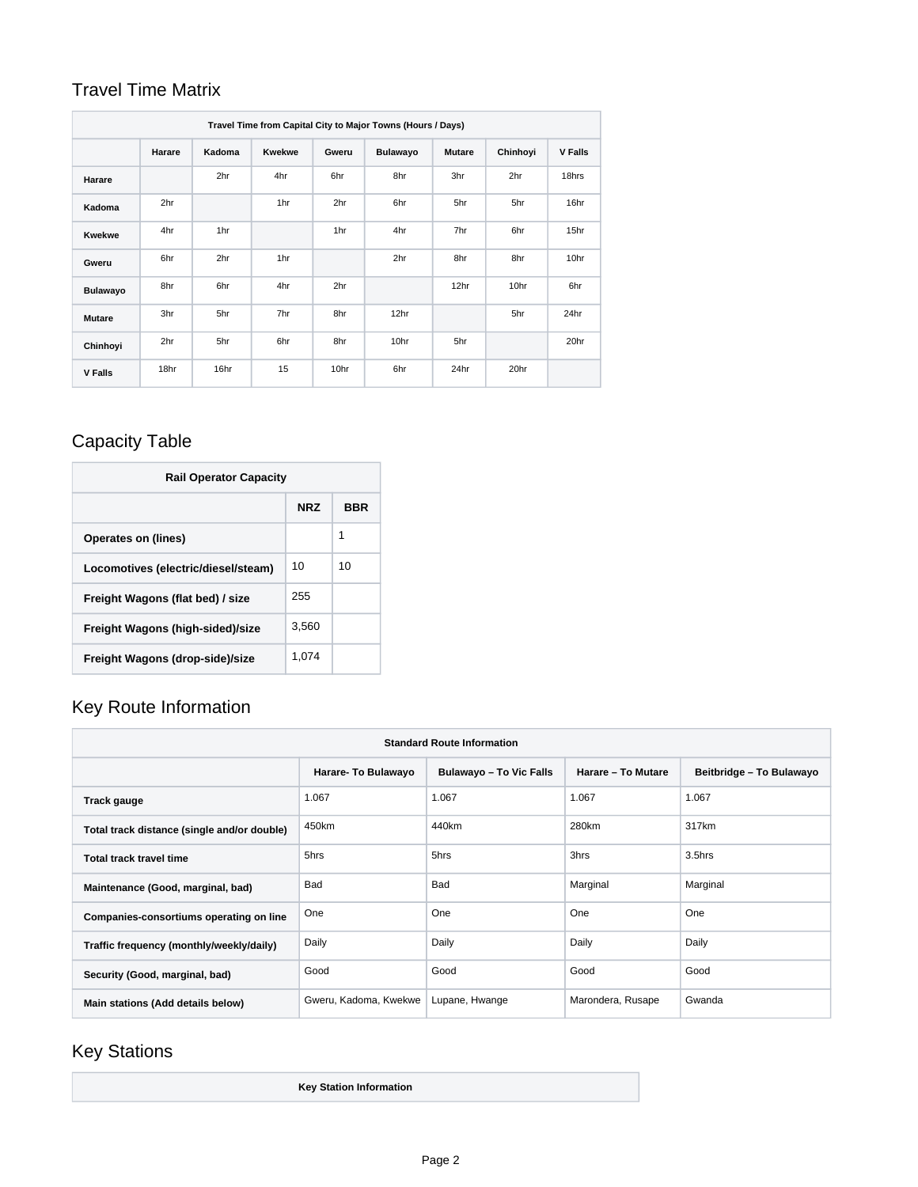#### Travel Time Matrix

| Travel Time from Capital City to Major Towns (Hours / Days) |        |        |               |       |                 |               |          |                |
|-------------------------------------------------------------|--------|--------|---------------|-------|-----------------|---------------|----------|----------------|
|                                                             | Harare | Kadoma | <b>Kwekwe</b> | Gweru | <b>Bulawayo</b> | <b>Mutare</b> | Chinhoyi | <b>V Falls</b> |
| Harare                                                      |        | 2hr    | 4hr           | 6hr   | 8hr             | 3hr           | 2hr      | 18hrs          |
| Kadoma                                                      | 2hr    |        | 1hr           | 2hr   | 6hr             | 5hr           | 5hr      | 16hr           |
| <b>Kwekwe</b>                                               | 4hr    | 1hr    |               | 1hr   | 4hr             | 7hr           | 6hr      | 15hr           |
| Gweru                                                       | 6hr    | 2hr    | 1hr           |       | 2hr             | 8hr           | 8hr      | 10hr           |
| <b>Bulawayo</b>                                             | 8hr    | 6hr    | 4hr           | 2hr   |                 | 12hr          | 10hr     | 6hr            |
| <b>Mutare</b>                                               | 3hr    | 5hr    | 7hr           | 8hr   | 12hr            |               | 5hr      | 24hr           |
| Chinhoyi                                                    | 2hr    | 5hr    | 6hr           | 8hr   | 10hr            | 5hr           |          | 20hr           |
| <b>V Falls</b>                                              | 18hr   | 16hr   | 15            | 10hr  | 6hr             | 24hr          | 20hr     |                |

## <span id="page-1-0"></span>Capacity Table

| <b>Rail Operator Capacity</b>       |            |     |  |  |  |
|-------------------------------------|------------|-----|--|--|--|
|                                     | <b>NRZ</b> | BBR |  |  |  |
| Operates on (lines)                 |            | 1   |  |  |  |
| Locomotives (electric/diesel/steam) | 10         | 10  |  |  |  |
| Freight Wagons (flat bed) / size    | 255        |     |  |  |  |
| Freight Wagons (high-sided)/size    | 3.560      |     |  |  |  |
| Freight Wagons (drop-side)/size     | 1.074      |     |  |  |  |

#### <span id="page-1-1"></span>Key Route Information

| <b>Standard Route Information</b>           |                       |                                |                    |                          |  |  |
|---------------------------------------------|-----------------------|--------------------------------|--------------------|--------------------------|--|--|
|                                             | Harare- To Bulawayo   | <b>Bulawayo - To Vic Falls</b> | Harare - To Mutare | Beitbridge - To Bulawayo |  |  |
| Track gauge                                 | 1.067                 | 1.067                          | 1.067              | 1.067                    |  |  |
| Total track distance (single and/or double) | 450km                 | 440km                          | 280km              | 317km                    |  |  |
| Total track travel time                     | 5hrs                  | 5hrs                           | 3hrs               | 3.5hrs                   |  |  |
| Maintenance (Good, marginal, bad)           | Bad                   | Bad                            | Marginal           | Marginal                 |  |  |
| Companies-consortiums operating on line     | One                   | One                            | One                | One                      |  |  |
| Traffic frequency (monthly/weekly/daily)    | Daily                 | Daily                          | Daily              | Daily                    |  |  |
| Security (Good, marginal, bad)              | Good                  | Good                           | Good               | Good                     |  |  |
| Main stations (Add details below)           | Gweru, Kadoma, Kwekwe | Lupane, Hwange                 | Marondera, Rusape  | Gwanda                   |  |  |

## <span id="page-1-2"></span>Key Stations

**Key Station Information**